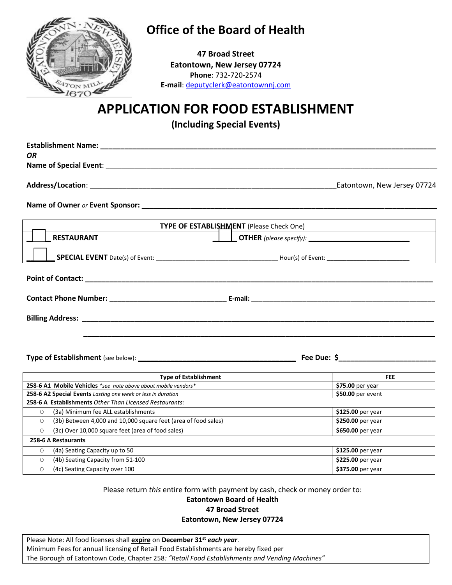

## **Office of the Board of Health**

**47 Broad Street Eatontown, New Jersey 07724 Phone**: 732-720-2574 **E-mail**: [deputyclerk@eatontownnj.com](mailto:deputyclerk@eatontownnj.com)

# **APPLICATION FOR FOOD ESTABLISHMENT**

**(Including Special Events)** 

| Establishment Name: Name and Allen and Allen and Allen and Allen and Allen and Allen and Allen and Allen                |                             |
|-------------------------------------------------------------------------------------------------------------------------|-----------------------------|
| <b>OR</b>                                                                                                               |                             |
|                                                                                                                         |                             |
|                                                                                                                         |                             |
|                                                                                                                         | Eatontown, New Jersey 07724 |
|                                                                                                                         |                             |
|                                                                                                                         |                             |
|                                                                                                                         |                             |
| <b>TYPE OF ESTABLISHMENT</b> (Please Check One)                                                                         |                             |
| <b>RESTAURANT</b>                                                                                                       |                             |
|                                                                                                                         |                             |
|                                                                                                                         |                             |
|                                                                                                                         |                             |
|                                                                                                                         |                             |
|                                                                                                                         |                             |
|                                                                                                                         |                             |
|                                                                                                                         |                             |
|                                                                                                                         |                             |
|                                                                                                                         |                             |
|                                                                                                                         |                             |
|                                                                                                                         |                             |
|                                                                                                                         |                             |
|                                                                                                                         |                             |
|                                                                                                                         |                             |
| <b>Type of Establishment</b>                                                                                            | <b>FEE</b>                  |
| 258-6 A1 Mobile Vehicles *see note above about mobile vendors*                                                          | \$75.00 per year            |
| 258-6 A2 Special Events Lasting one week or less in duration<br>258-6 A Establishments Other Than Licensed Restaurants: | \$50.00 per event           |
| (3a) Minimum fee ALL establishments<br>$\circ$                                                                          | $$125.00$ per year          |
| (3b) Between 4,000 and 10,000 square feet (area of food sales)<br>$\Omega$                                              | \$250.00 per year           |
| (3c) Over 10,000 square feet (area of food sales)<br>$\bigcirc$                                                         | \$650.00 per year           |
| 258-6 A Restaurants                                                                                                     |                             |
| (4a) Seating Capacity up to 50<br>$\circ$                                                                               | $$125.00$ per year          |

Please return *this* entire form with payment by cash, check or money order to:

O (4b) Seating Capacity from 51-100 **\$225.00** per year O (4c) Seating Capacity over 100 **\$375.00** per year

> **Eatontown Board of Health 47 Broad Street**

**Eatontown, New Jersey 07724**

Please Note: All food licenses shall **expire** on **December 31st** *each year*. Minimum Fees for annual licensing of Retail Food Establishments are hereby fixed per The Borough of Eatontown Code, Chapter 258*: "Retail Food Establishments and Vending Machines"*